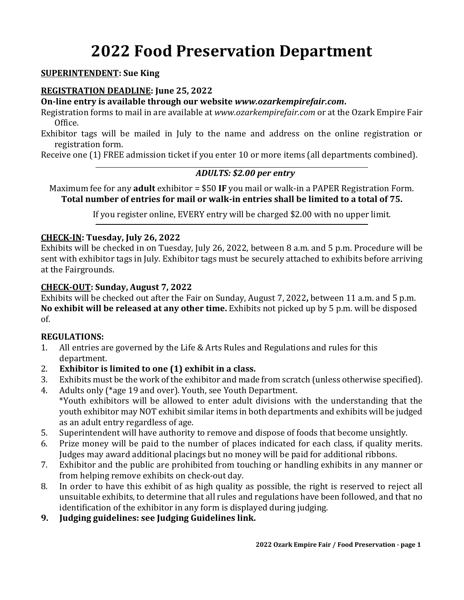# **2022 Food Preservation Department**

### **SUPERINTENDENT: Sue King**

### **REGISTRATION DEADLINE: June 25, 2022**

**On-line entry is available through our website** *www.ozarkempirefair.com***.**

Registration forms to mail in are available at *www.ozarkempirefair.com* or at the Ozark Empire Fair Office.

Exhibitor tags will be mailed in July to the name and address on the online registration or registration form.

Receive one (1) FREE admission ticket if you enter 10 or more items (all departments combined).

# *ADULTS: \$2.00 per entry*

Maximum fee for any **adult** exhibitor = \$50 **IF** you mail or walk-in a PAPER Registration Form. **Total number of entries for mail or walk-in entries shall be limited to a total of 75.**

If you register online, EVERY entry will be charged \$2.00 with no upper limit.

# **CHECK-IN: Tuesday, July 26, 2022**

Exhibits will be checked in on Tuesday, July 26, 2022, between 8 a.m. and 5 p.m. Procedure will be sent with exhibitor tags in July. Exhibitor tags must be securely attached to exhibits before arriving at the Fairgrounds.

# **CHECK-OUT: Sunday, August 7, 2022**

Exhibits will be checked out after the Fair on Sunday, August 7, 2022**,** between 11 a.m. and 5 p.m. **No exhibit will be released at any other time.** Exhibits not picked up by 5 p.m. will be disposed of.

#### **REGULATIONS:**

- 1. All entries are governed by the Life & Arts Rules and Regulations and rules for this department.
- 2. **Exhibitor is limited to one (1) exhibit in a class.**
- 3. Exhibits must be the work of the exhibitor and made from scratch (unless otherwise specified).
- 4. Adults only (\*age 19 and over). Youth, see Youth Department. \*Youth exhibitors will be allowed to enter adult divisions with the understanding that the youth exhibitor may NOT exhibit similar items in both departments and exhibits will be judged as an adult entry regardless of age.
- 5. Superintendent will have authority to remove and dispose of foods that become unsightly.
- 6. Prize money will be paid to the number of places indicated for each class, if quality merits. Judges may award additional placings but no money will be paid for additional ribbons.
- 7. Exhibitor and the public are prohibited from touching or handling exhibits in any manner or from helping remove exhibits on check-out day.
- 8. In order to have this exhibit of as high quality as possible, the right is reserved to reject all unsuitable exhibits, to determine that all rules and regulations have been followed, and that no identification of the exhibitor in any form is displayed during judging.
- **9. Judging guidelines: see Judging Guidelines link.**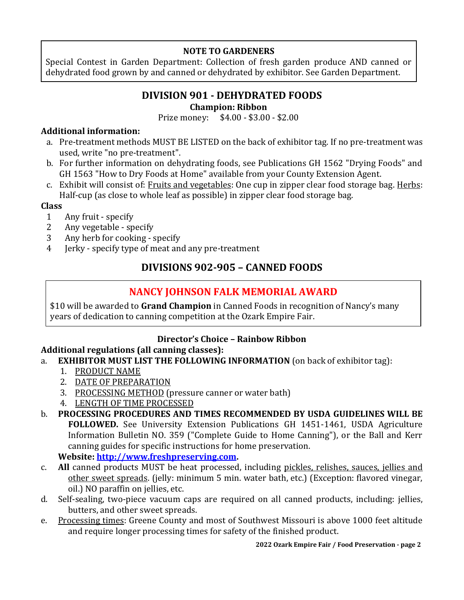# **NOTE TO GARDENERS**

Special Contest in Garden Department: Collection of fresh garden produce AND canned or dehydrated food grown by and canned or dehydrated by exhibitor. See Garden Department.

# **DIVISION 901 - DEHYDRATED FOODS**

# **Champion: Ribbon**

Prize money: \$4.00 - \$3.00 - \$2.00

# **Additional information:**

- a. Pre-treatment methods MUST BE LISTED on the back of exhibitor tag. If no pre-treatment was used, write "no pre-treatment".
- b. For further information on dehydrating foods, see Publications GH 1562 "Drying Foods" and GH 1563 "How to Dry Foods at Home" available from your County Extension Agent.
- c. Exhibit will consist of: Fruits and vegetables: One cup in zipper clear food storage bag. Herbs: Half-cup (as close to whole leaf as possible) in zipper clear food storage bag.

# **Class**

- 1 Any fruit specify
- 2 Any vegetable specify
- 3 Any herb for cooking specify
- 4 Jerky specify type of meat and any pre-treatment

# **DIVISIONS 902-905 – CANNED FOODS**

# **NANCY JOHNSON FALK MEMORIAL AWARD**

\$10 will be awarded to **Grand Champion** in Canned Foods in recognition of Nancy's many years of dedication to canning competition at the Ozark Empire Fair.

# **Director's Choice – Rainbow Ribbon**

# **Additional regulations (all canning classes):**

- a. **EXHIBITOR MUST LIST THE FOLLOWING INFORMATION** (on back of exhibitor tag):
	- 1. PRODUCT NAME
	- 2. DATE OF PREPARATION
	- 3. PROCESSING METHOD (pressure canner or water bath)
	- 4. LENGTH OF TIME PROCESSED
- b. **PROCESSING PROCEDURES AND TIMES RECOMMENDED BY USDA GUIDELINES WILL BE FOLLOWED.** See University Extension Publications GH 1451-1461, USDA Agriculture Information Bulletin NO. 359 ("Complete Guide to Home Canning"), or the Ball and Kerr canning guides for specific instructions for home preservation. **Website: [http://www.freshpreserving.com.](http://www.freshpreserving.com/)**
- c. **All** canned products MUST be heat processed, including pickles, relishes, sauces, jellies and other sweet spreads. (jelly: minimum 5 min. water bath, etc.) (Exception: flavored vinegar, oil.) NO paraffin on jellies, etc.
- d. Self-sealing, two-piece vacuum caps are required on all canned products, including: jellies, butters, and other sweet spreads.
- e. Processing times: Greene County and most of Southwest Missouri is above 1000 feet altitude and require longer processing times for safety of the finished product.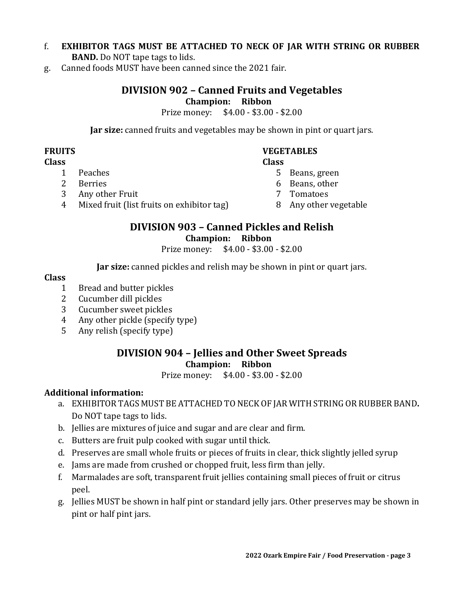# f. **EXHIBITOR TAGS MUST BE ATTACHED TO NECK OF JAR WITH STRING OR RUBBER BAND.** Do NOT tape tags to lids.

g. Canned foods MUST have been canned since the 2021 fair.

# **DIVISION 902 – Canned Fruits and Vegetables**

# **Champion: Ribbon**

Prize money: \$4.00 - \$3.00 - \$2.00

**Jar size:** canned fruits and vegetables may be shown in pint or quart jars.

# **FRUITS VEGETABLES**

#### **Class Class**

- 1 Peaches 5 Beans, green
	-
	-
	-
- 4 Mixed fruit (list fruits on exhibitor tag) 8 Any other vegetable

### **DIVISION 903 – Canned Pickles and Relish Champion: Ribbon**

Prize money: \$4.00 - \$3.00 - \$2.00

**Jar size:** canned pickles and relish may be shown in pint or quart jars.

#### **Class**

- 1 Bread and butter pickles
- 2 Cucumber dill pickles
- 3 Cucumber sweet pickles
- 4 Any other pickle (specify type)
- 5 Any relish (specify type)

# **DIVISION 904 – Jellies and Other Sweet Spreads Champion: Ribbon**

Prize money: \$4.00 - \$3.00 - \$2.00

# **Additional information:**

- a. EXHIBITOR TAGS MUST BE ATTACHED TO NECK OF JAR WITH STRING OR RUBBER BAND**.** Do NOT tape tags to lids.
- b. Jellies are mixtures of juice and sugar and are clear and firm.
- c. Butters are fruit pulp cooked with sugar until thick.
- d. Preserves are small whole fruits or pieces of fruits in clear, thick slightly jelled syrup
- e. Jams are made from crushed or chopped fruit, less firm than jelly.
- f. Marmalades are soft, transparent fruit jellies containing small pieces of fruit or citrus peel.
- g. Jellies MUST be shown in half pint or standard jelly jars. Other preserves may be shown in pint or half pint jars.
- 2 Berries 6 Beans, other
- 3 Any other Fruit 7 Tomatoes